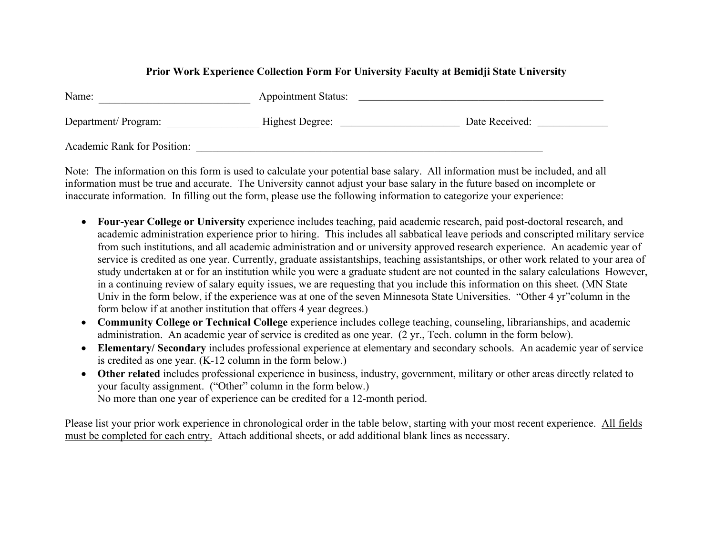## **Prior Work Experience Collection Form For University Faculty at Bemidji State University**

| Name:                       | <b>Appointment Status:</b> |                |  |  |  |  |
|-----------------------------|----------------------------|----------------|--|--|--|--|
| Department/Program:         | Highest Degree:            | Date Received: |  |  |  |  |
| Academic Rank for Position: |                            |                |  |  |  |  |

Note: The information on this form is used to calculate your potential base salary. All information must be included, and all information must be true and accurate. The University cannot adjust your base salary in the future based on incomplete or inaccurate information. In filling out the form, please use the following information to categorize your experience:

- **Four-year College or University** experience includes teaching, paid academic research, paid post-doctoral research, and academic administration experience prior to hiring. This includes all sabbatical leave periods and conscripted military service from such institutions, and all academic administration and or university approved research experience. An academic year of service is credited as one year. Currently, graduate assistantships, teaching assistantships, or other work related to your area of study undertaken at or for an institution while you were a graduate student are not counted in the salary calculations However, in a continuing review of salary equity issues, we are requesting that you include this information on this sheet*.* (MN State Univ in the form below, if the experience was at one of the seven Minnesota State Universities. "Other 4 yr"column in the form below if at another institution that offers 4 year degrees.)
- **Community College or Technical College** experience includes college teaching, counseling, librarianships, and academic administration. An academic year of service is credited as one year. (2 yr., Tech. column in the form below).
- **Elementary/ Secondary** includes professional experience at elementary and secondary schools. An academic year of service is credited as one year. (K-12 column in the form below.)
- **Other related** includes professional experience in business, industry, government, military or other areas directly related to your faculty assignment. ("Other" column in the form below.) No more than one year of experience can be credited for a 12-month period.

Please list your prior work experience in chronological order in the table below, starting with your most recent experience. All fields must be completed for each entry. Attach additional sheets, or add additional blank lines as necessary.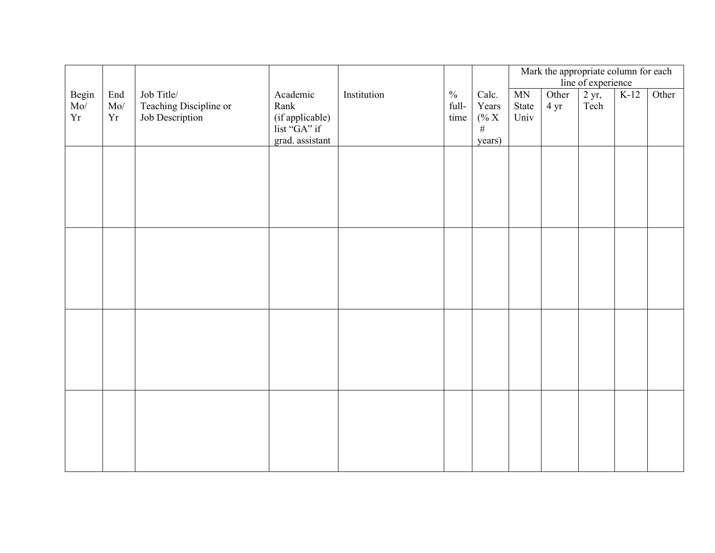|                    |                        |                                                         |                                                                        |             |                                |                                      | Mark the appropriate column for each<br>line of experience |               |                          |        |       |
|--------------------|------------------------|---------------------------------------------------------|------------------------------------------------------------------------|-------------|--------------------------------|--------------------------------------|------------------------------------------------------------|---------------|--------------------------|--------|-------|
| Begin<br>Mo/<br>Yr | End<br>$\rm Mo/$<br>Yr | Job Title/<br>Teaching Discipline or<br>Job Description | Academic<br>Rank<br>(if applicable)<br>list "GA" if<br>grad. assistant | Institution | $\frac{0}{0}$<br>full-<br>time | Calc.<br>Years<br>% X<br>#<br>years) | MN<br>State<br>Univ                                        | Other<br>4 yr | $2 \text{ yr}$ ,<br>Tech | $K-12$ | Other |
|                    |                        |                                                         |                                                                        |             |                                |                                      |                                                            |               |                          |        |       |
|                    |                        |                                                         |                                                                        |             |                                |                                      |                                                            |               |                          |        |       |
|                    |                        |                                                         |                                                                        |             |                                |                                      |                                                            |               |                          |        |       |
|                    |                        |                                                         |                                                                        |             |                                |                                      |                                                            |               |                          |        |       |